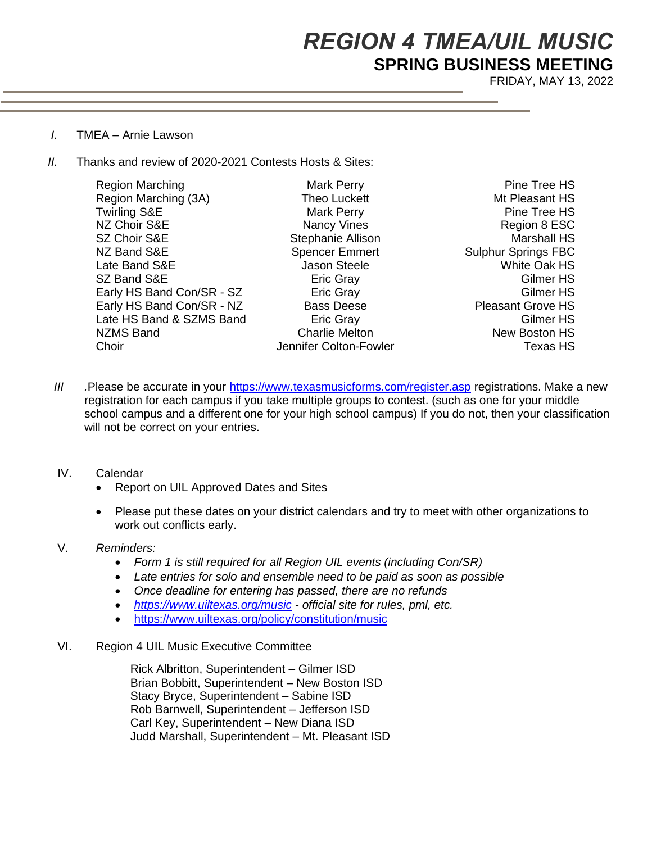# *REGION 4 TMEA/UIL MUSIC* **SPRING BUSINESS MEETING**

FRIDAY, MAY 13, 2022

- *I.* TMEA Arnie Lawson
- *II.* Thanks and review of 2020-2021 Contests Hosts & Sites:

| <b>Region Marching</b>    | <b>Mark Perry</b>      | Pine Tree HS               |
|---------------------------|------------------------|----------------------------|
| Region Marching (3A)      | Theo Luckett           | Mt Pleasant HS             |
| <b>Twirling S&amp;E</b>   | Mark Perry             | Pine Tree HS               |
| NZ Choir S&E              | Nancy Vines            | Region 8 ESC               |
| SZ Choir S&E              | Stephanie Allison      | <b>Marshall HS</b>         |
| NZ Band S&E               | <b>Spencer Emmert</b>  | <b>Sulphur Springs FBC</b> |
| Late Band S&E             | Jason Steele           | <b>White Oak HS</b>        |
| SZ Band S&E               | Eric Gray              | Gilmer HS                  |
| Early HS Band Con/SR - SZ | <b>Eric Gray</b>       | Gilmer HS                  |
| Early HS Band Con/SR - NZ | <b>Bass Deese</b>      | <b>Pleasant Grove HS</b>   |
| Late HS Band & SZMS Band  | Eric Gray              | Gilmer HS                  |
| <b>NZMS Band</b>          | <b>Charlie Melton</b>  | New Boston HS              |
| Choir                     | Jennifer Colton-Fowler | <b>Texas HS</b>            |
|                           |                        |                            |

*III .*Please be accurate in your https://www.texasmusicforms.com/register.asp registrations. Make a new registration for each campus if you take multiple groups to contest. (such as one for your middle school campus and a different one for your high school campus) If you do not, then your classification will not be correct on your entries.

#### IV. Calendar

- Report on UIL Approved Dates and Sites
- Please put these dates on your district calendars and try to meet with other organizations to work out conflicts early.

### V. *Reminders:*

- *Form 1 is still required for all Region UIL events (including Con/SR)*
- *Late entries for solo and ensemble need to be paid as soon as possible*
- *Once deadline for entering has passed, there are no refunds*
- *https://www.uiltexas.org/music - official site for rules, pml, etc.*
- https://www.uiltexas.org/policy/constitution/music
- VI. Region 4 UIL Music Executive Committee

Rick Albritton, Superintendent – Gilmer ISD Brian Bobbitt, Superintendent – New Boston ISD Stacy Bryce, Superintendent – Sabine ISD Rob Barnwell, Superintendent – Jefferson ISD Carl Key, Superintendent – New Diana ISD Judd Marshall, Superintendent – Mt. Pleasant ISD